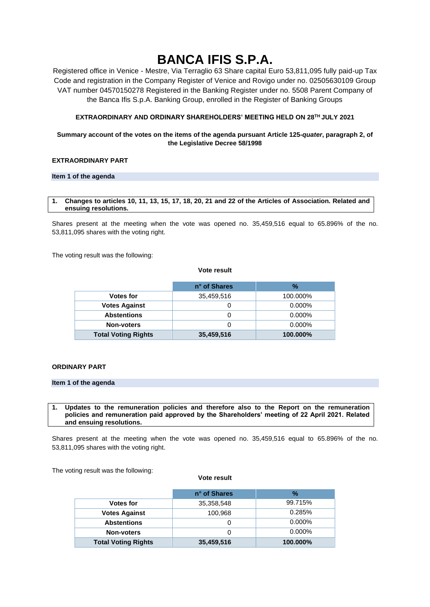# **BANCA IFIS S.P.A.**

Registered office in Venice - Mestre, Via Terraglio 63 Share capital Euro 53,811,095 fully paid-up Tax Code and registration in the Company Register of Venice and Rovigo under no. 02505630109 Group VAT number 04570150278 Registered in the Banking Register under no. 5508 Parent Company of the Banca Ifis S.p.A. Banking Group, enrolled in the Register of Banking Groups

# **EXTRAORDINARY AND ORDINARY SHAREHOLDERS' MEETING HELD ON 28TH JULY 2021**

# **Summary account of the votes on the items of the agenda pursuant Article 125-***quater***, paragraph 2, of the Legislative Decree 58/1998**

# **EXTRAORDINARY PART**

## **Item 1 of the agenda**

#### **1. Changes to articles 10, 11, 13, 15, 17, 18, 20, 21 and 22 of the Articles of Association. Related and ensuing resolutions.**

Shares present at the meeting when the vote was opened no. 35,459,516 equal to 65.896% of the no. 53,811,095 shares with the voting right.

The voting result was the following:

#### **Vote result**

|                            | n° of Shares | $\frac{9}{6}$ |
|----------------------------|--------------|---------------|
| <b>Votes for</b>           | 35,459,516   | 100.000%      |
| <b>Votes Against</b>       |              | $0.000\%$     |
| <b>Abstentions</b>         | O            | $0.000\%$     |
| Non-voters                 | O            | $0.000\%$     |
| <b>Total Voting Rights</b> | 35,459,516   | 100.000%      |

# **ORDINARY PART**

# **Item 1 of the agenda**

**1. Updates to the remuneration policies and therefore also to the Report on the remuneration policies and remuneration paid approved by the Shareholders' meeting of 22 April 2021. Related and ensuing resolutions.**

Shares present at the meeting when the vote was opened no. 35,459,516 equal to 65.896% of the no. 53,811,095 shares with the voting right.

The voting result was the following:

#### **Vote result**

|                            | n° of Shares | $\%$      |
|----------------------------|--------------|-----------|
| <b>Votes for</b>           | 35,358,548   | 99.715%   |
| <b>Votes Against</b>       | 100,968      | 0.285%    |
| <b>Abstentions</b>         | O            | $0.000\%$ |
| <b>Non-voters</b>          | 0            | $0.000\%$ |
| <b>Total Voting Rights</b> | 35,459,516   | 100.000%  |